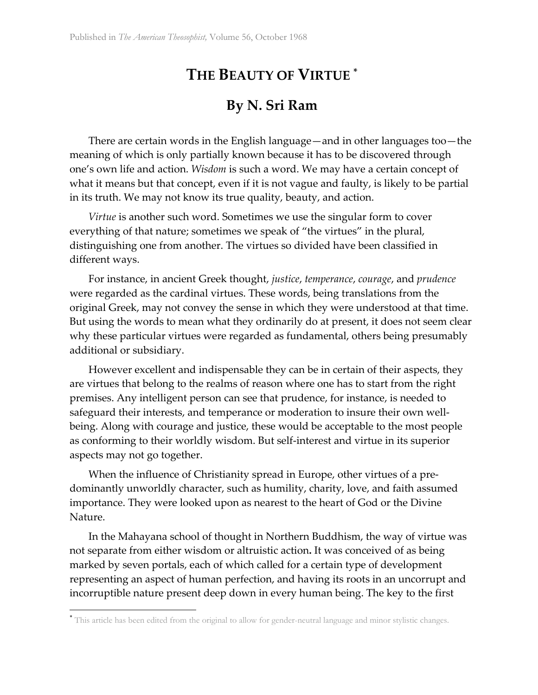## **THE BEAUTY OF VIRTUE \***

## **By N. Sri Ram**

There are certain words in the English language—and in other languages too—the meaning of which is only partially known because it has to be discovered through one's own life and action. *Wisdom* is such a word. We may have a certain concept of what it means but that concept, even if it is not vague and faulty, is likely to be partial in its truth. We may not know its true quality, beauty, and action.

*Virtue* is another such word. Sometimes we use the singular form to cover everything of that nature; sometimes we speak of "the virtues" in the plural, distinguishing one from another. The virtues so divided have been classified in different ways.

For instance, in ancient Greek thought, *justice*, *temperance*, *courage*, and *prudence* were regarded as the cardinal virtues. These words, being translations from the original Greek, may not convey the sense in which they were understood at that time. But using the words to mean what they ordinarily do at present, it does not seem clear why these particular virtues were regarded as fundamental, others being presumably additional or subsidiary.

However excellent and indispensable they can be in certain of their aspects, they are virtues that belong to the realms of reason where one has to start from the right premises. Any intelligent person can see that prudence, for instance, is needed to safeguard their interests, and temperance or moderation to insure their own wellbeing. Along with courage and justice, these would be acceptable to the most people as conforming to their worldly wisdom. But self-interest and virtue in its superior aspects may not go together.

When the influence of Christianity spread in Europe, other virtues of a predominantly unworldly character, such as humility, charity, love, and faith assumed importance. They were looked upon as nearest to the heart of God or the Divine Nature.

In the Mahayana school of thought in Northern Buddhism, the way of virtue was not separate from either wisdom or altruistic action**.** It was conceived of as being marked by seven portals, each of which called for a certain type of development representing an aspect of human perfection, and having its roots in an uncorrupt and incorruptible nature present deep down in every human being. The key to the first

 $\overline{a}$ 

<sup>\*</sup> This article has been edited from the original to allow for gender-neutral language and minor stylistic changes.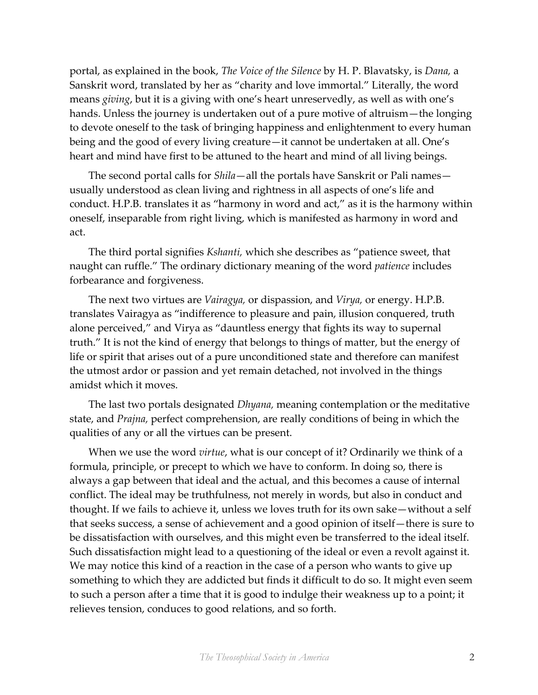portal, as explained in the book, *The Voice of the Silence* by H. P. Blavatsky, is *Dana,* a Sanskrit word, translated by her as "charity and love immortal." Literally, the word means *giving*, but it is a giving with one's heart unreservedly, as well as with one's hands. Unless the journey is undertaken out of a pure motive of altruism—the longing to devote oneself to the task of bringing happiness and enlightenment to every human being and the good of every living creature—it cannot be undertaken at all. One's heart and mind have first to be attuned to the heart and mind of all living beings.

The second portal calls for *Shila*—all the portals have Sanskrit or Pali names usually understood as clean living and rightness in all aspects of one's life and conduct. H.P.B. translates it as "harmony in word and act," as it is the harmony within oneself, inseparable from right living, which is manifested as harmony in word and act.

The third portal signifies *Kshanti,* which she describes as "patience sweet, that naught can ruffle." The ordinary dictionary meaning of the word *patience* includes forbearance and forgiveness.

The next two virtues are *Vairagya,* or dispassion, and *Virya,* or energy. H.P.B. translates Vairagya as "indifference to pleasure and pain, illusion conquered, truth alone perceived," and Virya as "dauntless energy that fights its way to supernal truth." It is not the kind of energy that belongs to things of matter, but the energy of life or spirit that arises out of a pure unconditioned state and therefore can manifest the utmost ardor or passion and yet remain detached, not involved in the things amidst which it moves.

The last two portals designated *Dhyana,* meaning contemplation or the meditative state, and *Prajna,* perfect comprehension, are really conditions of being in which the qualities of any or all the virtues can be present.

When we use the word *virtue*, what is our concept of it? Ordinarily we think of a formula, principle, or precept to which we have to conform. In doing so, there is always a gap between that ideal and the actual, and this becomes a cause of internal conflict. The ideal may be truthfulness, not merely in words, but also in conduct and thought. If we fails to achieve it, unless we loves truth for its own sake—without a self that seeks success, a sense of achievement and a good opinion of itself—there is sure to be dissatisfaction with ourselves, and this might even be transferred to the ideal itself. Such dissatisfaction might lead to a questioning of the ideal or even a revolt against it. We may notice this kind of a reaction in the case of a person who wants to give up something to which they are addicted but finds it difficult to do so. It might even seem to such a person after a time that it is good to indulge their weakness up to a point; it relieves tension, conduces to good relations, and so forth.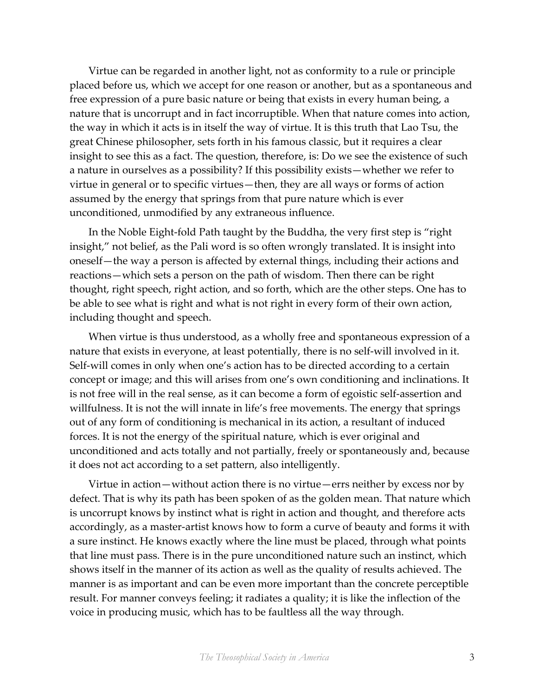Virtue can be regarded in another light, not as conformity to a rule or principle placed before us, which we accept for one reason or another, but as a spontaneous and free expression of a pure basic nature or being that exists in every human being, a nature that is uncorrupt and in fact incorruptible. When that nature comes into action, the way in which it acts is in itself the way of virtue. It is this truth that Lao Tsu, the great Chinese philosopher, sets forth in his famous classic, but it requires a clear insight to see this as a fact. The question, therefore, is: Do we see the existence of such a nature in ourselves as a possibility? If this possibility exists—whether we refer to virtue in general or to specific virtues—then, they are all ways or forms of action assumed by the energy that springs from that pure nature which is ever unconditioned, unmodified by any extraneous influence.

In the Noble Eight-fold Path taught by the Buddha, the very first step is "right insight," not belief, as the Pali word is so often wrongly translated. It is insight into oneself—the way a person is affected by external things, including their actions and reactions—which sets a person on the path of wisdom. Then there can be right thought, right speech, right action, and so forth, which are the other steps. One has to be able to see what is right and what is not right in every form of their own action, including thought and speech.

When virtue is thus understood, as a wholly free and spontaneous expression of a nature that exists in everyone, at least potentially, there is no self-will involved in it. Self-will comes in only when one's action has to be directed according to a certain concept or image; and this will arises from one's own conditioning and inclinations. It is not free will in the real sense, as it can become a form of egoistic self-assertion and willfulness. It is not the will innate in life's free movements. The energy that springs out of any form of conditioning is mechanical in its action, a resultant of induced forces. It is not the energy of the spiritual nature, which is ever original and unconditioned and acts totally and not partially, freely or spontaneously and, because it does not act according to a set pattern, also intelligently.

Virtue in action—without action there is no virtue—errs neither by excess nor by defect. That is why its path has been spoken of as the golden mean. That nature which is uncorrupt knows by instinct what is right in action and thought, and therefore acts accordingly, as a master-artist knows how to form a curve of beauty and forms it with a sure instinct. He knows exactly where the line must be placed, through what points that line must pass. There is in the pure unconditioned nature such an instinct, which shows itself in the manner of its action as well as the quality of results achieved. The manner is as important and can be even more important than the concrete perceptible result. For manner conveys feeling; it radiates a quality; it is like the inflection of the voice in producing music, which has to be faultless all the way through.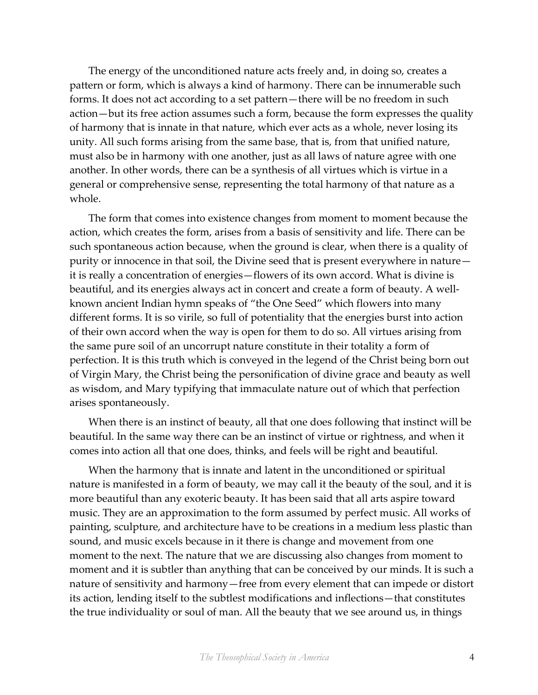The energy of the unconditioned nature acts freely and, in doing so, creates a pattern or form, which is always a kind of harmony. There can be innumerable such forms. It does not act according to a set pattern—there will be no freedom in such action—but its free action assumes such a form, because the form expresses the quality of harmony that is innate in that nature, which ever acts as a whole, never losing its unity. All such forms arising from the same base, that is, from that unified nature, must also be in harmony with one another, just as all laws of nature agree with one another. In other words, there can be a synthesis of all virtues which is virtue in a general or comprehensive sense, representing the total harmony of that nature as a whole.

The form that comes into existence changes from moment to moment because the action, which creates the form, arises from a basis of sensitivity and life. There can be such spontaneous action because, when the ground is clear, when there is a quality of purity or innocence in that soil, the Divine seed that is present everywhere in nature it is really a concentration of energies—flowers of its own accord. What is divine is beautiful, and its energies always act in concert and create a form of beauty. A wellknown ancient Indian hymn speaks of "the One Seed" which flowers into many different forms. It is so virile, so full of potentiality that the energies burst into action of their own accord when the way is open for them to do so. All virtues arising from the same pure soil of an uncorrupt nature constitute in their totality a form of perfection. It is this truth which is conveyed in the legend of the Christ being born out of Virgin Mary, the Christ being the personification of divine grace and beauty as well as wisdom, and Mary typifying that immaculate nature out of which that perfection arises spontaneously.

When there is an instinct of beauty, all that one does following that instinct will be beautiful. In the same way there can be an instinct of virtue or rightness, and when it comes into action all that one does, thinks, and feels will be right and beautiful.

When the harmony that is innate and latent in the unconditioned or spiritual nature is manifested in a form of beauty, we may call it the beauty of the soul, and it is more beautiful than any exoteric beauty. It has been said that all arts aspire toward music. They are an approximation to the form assumed by perfect music. All works of painting, sculpture, and architecture have to be creations in a medium less plastic than sound, and music excels because in it there is change and movement from one moment to the next. The nature that we are discussing also changes from moment to moment and it is subtler than anything that can be conceived by our minds. It is such a nature of sensitivity and harmony—free from every element that can impede or distort its action, lending itself to the subtlest modifications and inflections—that constitutes the true individuality or soul of man. All the beauty that we see around us, in things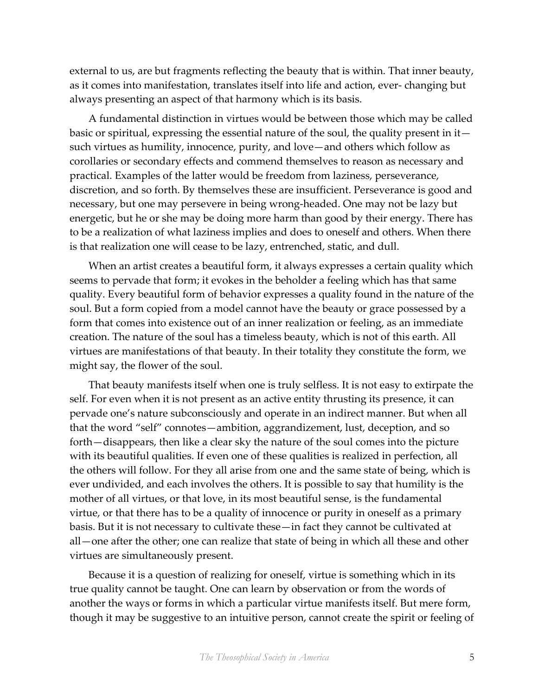external to us, are but fragments reflecting the beauty that is within. That inner beauty, as it comes into manifestation, translates itself into life and action, ever- changing but always presenting an aspect of that harmony which is its basis.

A fundamental distinction in virtues would be between those which may be called basic or spiritual, expressing the essential nature of the soul, the quality present in it such virtues as humility, innocence, purity, and love—and others which follow as corollaries or secondary effects and commend themselves to reason as necessary and practical. Examples of the latter would be freedom from laziness, perseverance, discretion, and so forth. By themselves these are insufficient. Perseverance is good and necessary, but one may persevere in being wrong-headed. One may not be lazy but energetic, but he or she may be doing more harm than good by their energy. There has to be a realization of what laziness implies and does to oneself and others. When there is that realization one will cease to be lazy, entrenched, static, and dull.

When an artist creates a beautiful form, it always expresses a certain quality which seems to pervade that form; it evokes in the beholder a feeling which has that same quality. Every beautiful form of behavior expresses a quality found in the nature of the soul. But a form copied from a model cannot have the beauty or grace possessed by a form that comes into existence out of an inner realization or feeling, as an immediate creation. The nature of the soul has a timeless beauty, which is not of this earth. All virtues are manifestations of that beauty. In their totality they constitute the form, we might say, the flower of the soul.

That beauty manifests itself when one is truly selfless. It is not easy to extirpate the self. For even when it is not present as an active entity thrusting its presence, it can pervade one's nature subconsciously and operate in an indirect manner. But when all that the word "self" connotes—ambition, aggrandizement, lust, deception, and so forth—disappears, then like a clear sky the nature of the soul comes into the picture with its beautiful qualities. If even one of these qualities is realized in perfection, all the others will follow. For they all arise from one and the same state of being, which is ever undivided, and each involves the others. It is possible to say that humility is the mother of all virtues, or that love, in its most beautiful sense, is the fundamental virtue, or that there has to be a quality of innocence or purity in oneself as a primary basis. But it is not necessary to cultivate these—in fact they cannot be cultivated at all—one after the other; one can realize that state of being in which all these and other virtues are simultaneously present.

Because it is a question of realizing for oneself, virtue is something which in its true quality cannot be taught. One can learn by observation or from the words of another the ways or forms in which a particular virtue manifests itself. But mere form, though it may be suggestive to an intuitive person, cannot create the spirit or feeling of